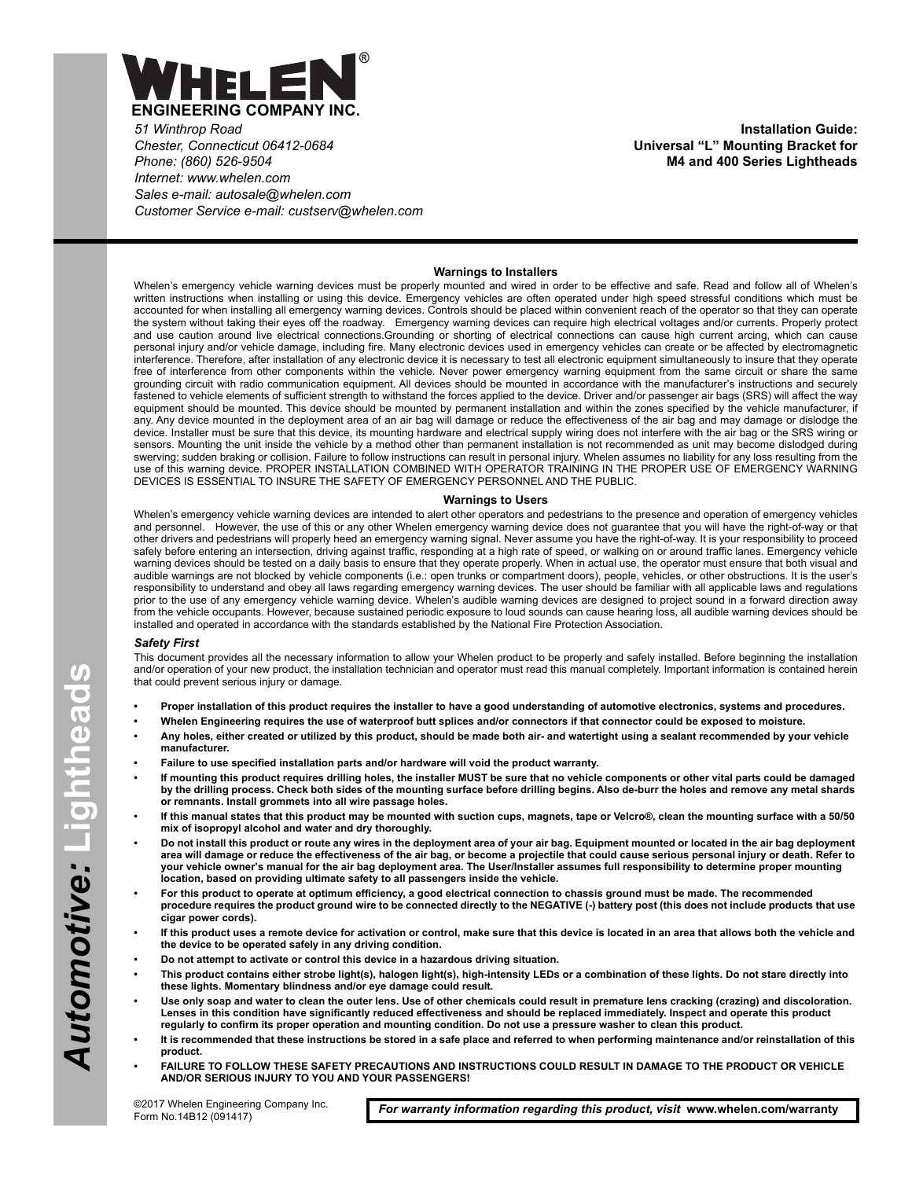

*51 Winthrop Road Chester, Connecticut 06412-0684 Phone: (860) 526-9504 Internet: www.whelen.com Sales e-mail: autosale@whelen.com Customer Service e-mail: custserv@whelen.com*

**Installation Guide: Universal "L" Mounting Bracket for M4 and 400 Series Lightheads**

## **Warnings to Installers**

Whelen's emergency vehicle warning devices must be properly mounted and wired in order to be effective and safe. Read and follow all of Whelen's written instructions when installing or using this device. Emergency vehicles are often operated under high speed stressful conditions which must be accounted for when installing all emergency warning devices. Controls should be placed within convenient reach of the operator so that they can operate the system without taking their eyes off the roadway. Emergency warning devices can require high electrical voltages and/or currents. Properly protect and use caution around live electrical connections.Grounding or shorting of electrical connections can cause high current arcing, which can cause personal injury and/or vehicle damage, including fire. Many electronic devices used in emergency vehicles can create or be affected by electromagnetic interference. Therefore, after installation of any electronic device it is necessary to test all electronic equipment simultaneously to insure that they operate free of interference from other components within the vehicle. Never power emergency warning equipment from the same circuit or share the same grounding circuit with radio communication equipment. All devices should be mounted in accordance with the manufacturer's instructions and securely fastened to vehicle elements of sufficient strength to withstand the forces applied to the device. Driver and/or passenger air bags (SRS) will affect the way equipment should be mounted. This device should be mounted by permanent installation and within the zones specified by the vehicle manufacturer, if any. Any device mounted in the deployment area of an air bag will damage or reduce the effectiveness of the air bag and may damage or dislodge the device. Installer must be sure that this device, its mounting hardware and electrical supply wiring does not interfere with the air bag or the SRS wiring or sensors. Mounting the unit inside the vehicle by a method other than permanent installation is not recommended as unit may become dislodged during swerving; sudden braking or collision. Failure to follow instructions can result in personal injury. Whelen assumes no liability for any loss resulting from the use of this warning device. PROPER INSTALLATION COMBINED WITH OPERATOR TRAINING IN THE PROPER USE OF EMERGENCY WARNING DEVICES IS ESSENTIAL TO INSURE THE SAFETY OF EMERGENCY PERSONNEL AND THE PUBLIC.

## **Warnings to Users**

Whelen's emergency vehicle warning devices are intended to alert other operators and pedestrians to the presence and operation of emergency vehicles and personnel. However, the use of this or any other Whelen emergency warning device does not guarantee that you will have the right-of-way or that other drivers and pedestrians will properly heed an emergency warning signal. Never assume you have the right-of-way. It is your responsibility to proceed safely before entering an intersection, driving against traffic, responding at a high rate of speed, or walking on or around traffic lanes. Emergency vehicle warning devices should be tested on a daily basis to ensure that they operate properly. When in actual use, the operator must ensure that both visual and audible warnings are not blocked by vehicle components (i.e.: open trunks or compartment doors), people, vehicles, or other obstructions. It is the user's responsibility to understand and obey all laws regarding emergency warning devices. The user should be familiar with all applicable laws and regulations prior to the use of any emergency vehicle warning device. Whelen's audible warning devices are designed to project sound in a forward direction away from the vehicle occupants. However, because sustained periodic exposure to loud sounds can cause hearing loss, all audible warning devices should be installed and operated in accordance with the standards established by the National Fire Protection Association.

## *Safety First*

This document provides all the necessary information to allow your Whelen product to be properly and safely installed. Before beginning the installation and/or operation of your new product, the installation technician and operator must read this manual completely. Important information is contained herein that could prevent serious injury or damage.

- **Proper installation of this product requires the installer to have a good understanding of automotive electronics, systems and procedures.**
- **Whelen Engineering requires the use of waterproof butt splices and/or connectors if that connector could be exposed to moisture.**
- **Any holes, either created or utilized by this product, should be made both air- and watertight using a sealant recommended by your vehicle manufacturer.**
- **Failure to use specified installation parts and/or hardware will void the product warranty.**
- **If mounting this product requires drilling holes, the installer MUST be sure that no vehicle components or other vital parts could be damaged by the drilling process. Check both sides of the mounting surface before drilling begins. Also de-burr the holes and remove any metal shards or remnants. Install grommets into all wire passage holes.**
- **If this manual states that this product may be mounted with suction cups, magnets, tape or Velcro®, clean the mounting surface with a 50/50 mix of isopropyl alcohol and water and dry thoroughly.**
- **Do not install this product or route any wires in the deployment area of your air bag. Equipment mounted or located in the air bag deployment area will damage or reduce the effectiveness of the air bag, or become a projectile that could cause serious personal injury or death. Refer to your vehicle owner's manual for the air bag deployment area. The User/Installer assumes full responsibility to determine proper mounting location, based on providing ultimate safety to all passengers inside the vehicle.**
- **For this product to operate at optimum efficiency, a good electrical connection to chassis ground must be made. The recommended procedure requires the product ground wire to be connected directly to the NEGATIVE (-) battery post (this does not include products that use cigar power cords).**
- **If this product uses a remote device for activation or control, make sure that this device is located in an area that allows both the vehicle and the device to be operated safely in any driving condition.**
- **Do not attempt to activate or control this device in a hazardous driving situation.**
- **This product contains either strobe light(s), halogen light(s), high-intensity LEDs or a combination of these lights. Do not stare directly into these lights. Momentary blindness and/or eye damage could result.**
- **Use only soap and water to clean the outer lens. Use of other chemicals could result in premature lens cracking (crazing) and discoloration. Lenses in this condition have significantly reduced effectiveness and should be replaced immediately. Inspect and operate this product regularly to confirm its proper operation and mounting condition. Do not use a pressure washer to clean this product.**
- **It is recommended that these instructions be stored in a safe place and referred to when performing maintenance and/or reinstallation of this product.**
- **FAILURE TO FOLLOW THESE SAFETY PRECAUTIONS AND INSTRUCTIONS COULD RESULT IN DAMAGE TO THE PRODUCT OR VEHICLE AND/OR SERIOUS INJURY TO YOU AND YOUR PASSENGERS!**

*For warranty information regarding this product, visit* **www.whelen.com/warranty**